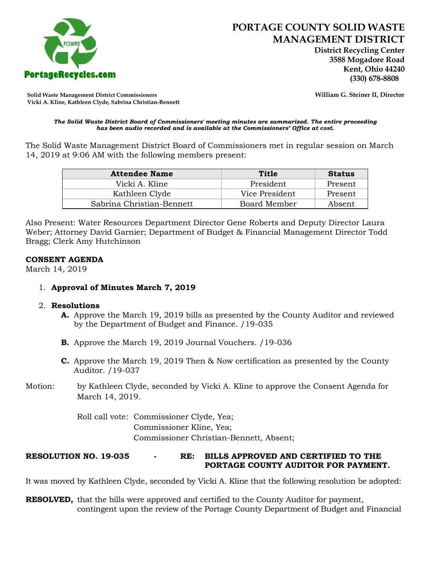

 **District Recycling Center 3588 Mogadore Road Kent, Ohio 44240**

**Solid Waste Management District Commissioners William G. Steiner II, Director Vicki A. Kline, Kathleen Clyde, Sabrina Christian-Bennett**

#### *The Solid Waste District Board of Commissioners' meeting minutes are summarized. The entire proceeding has been audio recorded and is available at the Commissioners' Office at cost.*

The Solid Waste Management District Board of Commissioners met in regular session on March 14, 2019 at 9:06 AM with the following members present:

| <b>Attendee Name</b>      | Title          | <b>Status</b> |
|---------------------------|----------------|---------------|
| Vicki A. Kline            | President      | Present       |
| Kathleen Clyde            | Vice President | Present       |
| Sabrina Christian-Bennett | Board Member   | Absent        |

Also Present: Water Resources Department Director Gene Roberts and Deputy Director Laura Weber; Attorney David Garnier; Department of Budget & Financial Management Director Todd Bragg; Clerk Amy Hutchinson

#### **CONSENT AGENDA**

March 14, 2019

## 1. **Approval of Minutes March 7, 2019**

### 2. **Resolutions**

- **A.** Approve the March 19, 2019 bills as presented by the County Auditor and reviewed by the Department of Budget and Finance. /19-035
- **B.** Approve the March 19, 2019 Journal Vouchers. /19-036
- **C.** Approve the March 19, 2019 Then & Now certification as presented by the County Auditor. /19-037
- Motion: by Kathleen Clyde, seconded by Vicki A. Kline to approve the Consent Agenda for March 14, 2019.

Roll call vote: Commissioner Clyde, Yea; Commissioner Kline, Yea; Commissioner Christian-Bennett, Absent;

### **RESOLUTION NO. 19-035 - RE: BILLS APPROVED AND CERTIFIED TO THE PORTAGE COUNTY AUDITOR FOR PAYMENT.**

It was moved by Kathleen Clyde, seconded by Vicki A. Kline that the following resolution be adopted:

**RESOLVED,** that the bills were approved and certified to the County Auditor for payment, contingent upon the review of the Portage County Department of Budget and Financial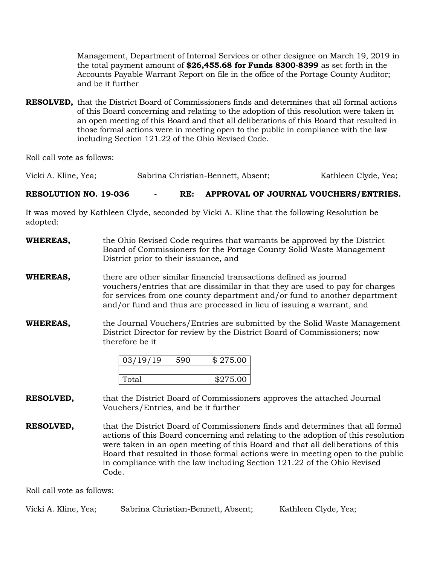Management, Department of Internal Services or other designee on March 19, 2019 in the total payment amount of **\$26,455.68 for Funds 8300-8399** as set forth in the Accounts Payable Warrant Report on file in the office of the Portage County Auditor; and be it further

**RESOLVED,** that the District Board of Commissioners finds and determines that all formal actions of this Board concerning and relating to the adoption of this resolution were taken in an open meeting of this Board and that all deliberations of this Board that resulted in those formal actions were in meeting open to the public in compliance with the law including Section 121.22 of the Ohio Revised Code.

Roll call vote as follows:

Vicki A. Kline, Yea; Sabrina Christian-Bennett, Absent; Kathleen Clyde, Yea;

**RESOLUTION NO. 19-036 - RE: APPROVAL OF JOURNAL VOUCHERS/ENTRIES.**

It was moved by Kathleen Clyde, seconded by Vicki A. Kline that the following Resolution be adopted:

- **WHEREAS,** the Ohio Revised Code requires that warrants be approved by the District Board of Commissioners for the Portage County Solid Waste Management District prior to their issuance, and
- **WHEREAS,** there are other similar financial transactions defined as journal vouchers/entries that are dissimilar in that they are used to pay for charges for services from one county department and/or fund to another department and/or fund and thus are processed in lieu of issuing a warrant, and
- **WHEREAS,** the Journal Vouchers/Entries are submitted by the Solid Waste Management District Director for review by the District Board of Commissioners; now therefore be it

| 03/19/19 | 590 | \$275.00 |
|----------|-----|----------|
|          |     |          |
| Total    |     | \$275.00 |

**RESOLVED,** that the District Board of Commissioners approves the attached Journal Vouchers/Entries, and be it further

**RESOLVED,** that the District Board of Commissioners finds and determines that all formal actions of this Board concerning and relating to the adoption of this resolution were taken in an open meeting of this Board and that all deliberations of this Board that resulted in those formal actions were in meeting open to the public in compliance with the law including Section 121.22 of the Ohio Revised Code.

Roll call vote as follows:

| Vicki A. Kline, Yea; | Sabrina Christian-Bennett, Absent; | Kathleen Clyde, Yea; |
|----------------------|------------------------------------|----------------------|
|----------------------|------------------------------------|----------------------|